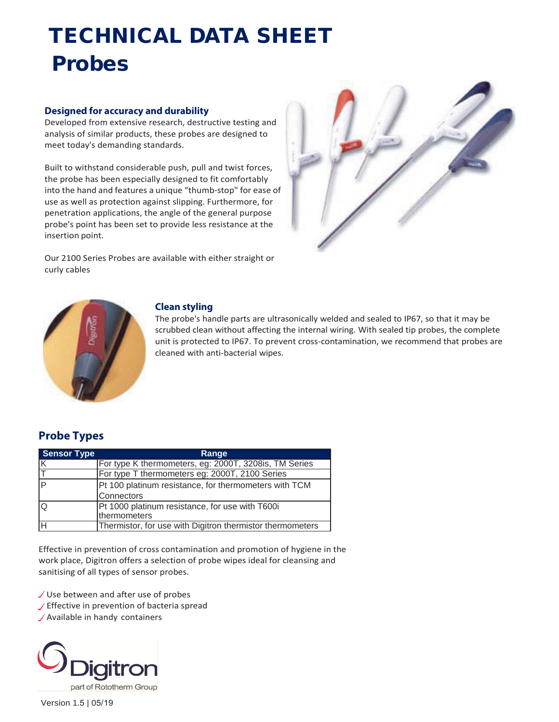# TECHNICAL DATA SHEET Probes

#### **Designed for accuracy and durability**

Developed from extensive research, destructive testing and analysis of similar products, these probes are designed to meet today's demanding standards.

Built to withstand considerable push, pull and twist forces, the probe has been especially designed to fit comfortably into the hand and features a unique "thumb-stop" for ease of use as well as protection against slipping. Furthermore, for penetration applications, the angle of the general purpose probe's point has been set to provide less resistance at the insertion point.



Our 2100 Series Probes are available with either straight or curly cables



#### **Clean styling**

The probe's handle parts are ultrasonically welded and sealed to IP67, so that it may be scrubbed clean without affecting the internal wiring. With sealed tip probes, the complete unit is protected to IP67. To prevent cross-contamination, we recommend that probes are cleaned with anti-bacterial wipes.

### **Probe Types**

| <b>Sensor Type</b> | Range                                                           |
|--------------------|-----------------------------------------------------------------|
|                    | For type K thermometers, eg: 2000T, 3208is, TM Series           |
|                    | For type T thermometers eg: 2000T, 2100 Series                  |
|                    | Pt 100 platinum resistance, for thermometers with TCM           |
|                    | Connectors                                                      |
|                    | Pt 1000 platinum resistance, for use with T600i<br>thermometers |
|                    | Thermistor, for use with Digitron thermistor thermometers       |

Effective in prevention of cross contamination and promotion of hygiene in the work place, Digitron offers a selection of probe wipes ideal for cleansing and sanitising of all types of sensor probes.

 $\checkmark$  Use between and after use of probes

- $\sqrt{\overline{\phantom{a}}\,}$  Effective in prevention of bacteria spread
- Available in handy containers



Version 1.5 | 05/19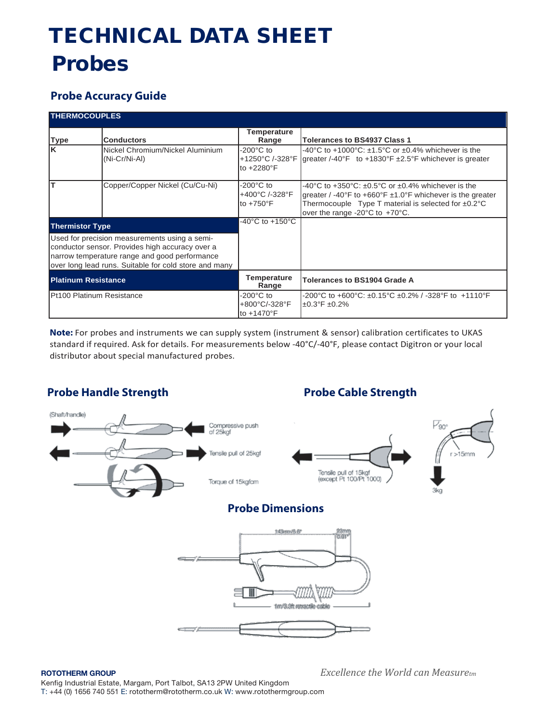# TECHNICAL DATA SHEET Probes

### **Probe Accuracy Guide**

| <b>THERMOCOUPLES</b>                                                                                                                                                                                       |                                                   |                                                              |                                                                                                                                                                                                                                                             |
|------------------------------------------------------------------------------------------------------------------------------------------------------------------------------------------------------------|---------------------------------------------------|--------------------------------------------------------------|-------------------------------------------------------------------------------------------------------------------------------------------------------------------------------------------------------------------------------------------------------------|
| <b>Type</b>                                                                                                                                                                                                | <b>Conductors</b>                                 | Temperature<br>Range                                         | <b>Tolerances to BS4937 Class 1</b>                                                                                                                                                                                                                         |
| lĸ                                                                                                                                                                                                         | Nickel Chromium/Nickel Aluminium<br>(Ni-Cr/Ni-Al) | $-200^{\circ}$ C to<br>to +2280°F                            | -40°C to +1000°C: $\pm$ 1.5°C or $\pm$ 0.4% whichever is the<br>+1250°C /-328°F greater /-40°F to +1830°F $\pm$ 2.5°F whichever is greater                                                                                                                  |
| lт                                                                                                                                                                                                         | Copper/Copper Nickel (Cu/Cu-Ni)                   | $-200^{\circ}$ C to<br>+400°C /-328°F<br>to $+750^{\circ}$ F | -40°C to +350°C: $\pm 0.5$ °C or $\pm 0.4$ % whichever is the<br>greater / -40°F to +660°F $\pm$ 1.0°F whichever is the greater<br>Thermocouple Type T material is selected for $\pm 0.2^{\circ}$ C<br>over the range -20 $^{\circ}$ C to +70 $^{\circ}$ C. |
| <b>Thermistor Type</b>                                                                                                                                                                                     |                                                   | $-40^{\circ}$ C to $+150^{\circ}$ C                          |                                                                                                                                                                                                                                                             |
| Used for precision measurements using a semi-<br>conductor sensor. Provides high accuracy over a<br>narrow temperature range and good performance<br>over long lead runs. Suitable for cold store and many |                                                   |                                                              |                                                                                                                                                                                                                                                             |
| <b>Platinum Resistance</b>                                                                                                                                                                                 |                                                   | <b>Temperature</b><br>Range                                  | <b>Tolerances to BS1904 Grade A</b>                                                                                                                                                                                                                         |
| Pt100 Platinum Resistance                                                                                                                                                                                  |                                                   | $-200^{\circ}$ C to<br>+800°C/-328°F<br>to +1470°F           | -200°C to +600°C: ±0.15°C ±0.2% / -328°F to +1110°F<br>$±0.3^{\circ}$ F ±0.2%                                                                                                                                                                               |

**Note:** For probes and instruments we can supply system (instrument & sensor) calibration certificates to UKAS standard if required. Ask for details. For measurements below -40°C/-40°F, please contact Digitron or your local distributor about special manufactured probes.

### **Probe Handle Strength Probe Cable Strength**



**ROTOTHERM GROUP** *Excellence the World can Measuretm*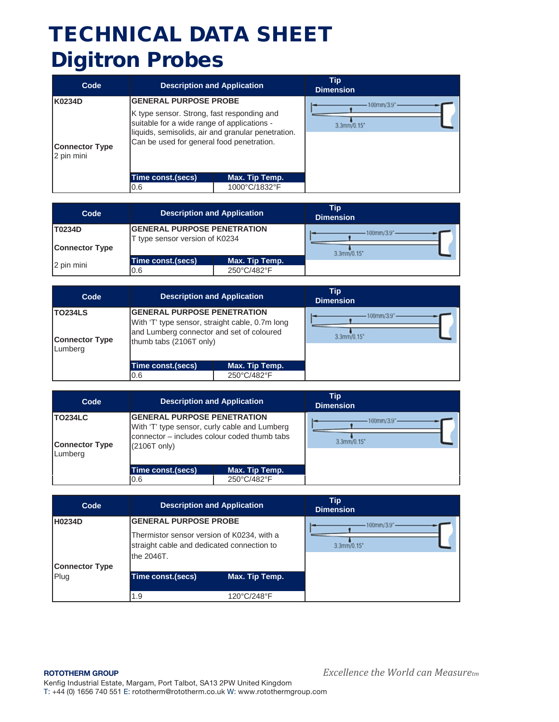| Code                                          | <b>Description and Application</b>                                                                                                                                                                                           | Tip<br><b>Dimension</b>      |
|-----------------------------------------------|------------------------------------------------------------------------------------------------------------------------------------------------------------------------------------------------------------------------------|------------------------------|
| K0234D<br><b>Connector Type</b><br>2 pin mini | <b>GENERAL PURPOSE PROBE</b><br>K type sensor. Strong, fast responding and<br>suitable for a wide range of applications -<br>liquids, semisolids, air and granular penetration.<br>Can be used for general food penetration. | $100$ mm/3.9"<br>3.3mm/0.15' |
|                                               | Time const.(secs)<br>Max. Tip Temp.                                                                                                                                                                                          |                              |
|                                               | 1000°C/1832°F<br>0.6                                                                                                                                                                                                         |                              |

| Code                            | <b>Description and Application</b>                                   |                               | Tip<br><b>Dimension</b> |
|---------------------------------|----------------------------------------------------------------------|-------------------------------|-------------------------|
| T0234D<br><b>Connector Type</b> | <b>GENERAL PURPOSE PENETRATION</b><br>T type sensor version of K0234 |                               | 3.3mm/0.15'             |
| 2 pin mini                      | Time const.(secs)<br>0.6                                             | Max. Tip Temp.<br>250°C/482°F |                         |

| Code                                        | <b>Description and Application</b>                                                                                                                            |                               | Tip<br><b>Dimension</b>   |  |
|---------------------------------------------|---------------------------------------------------------------------------------------------------------------------------------------------------------------|-------------------------------|---------------------------|--|
| TO234LS<br><b>Connector Type</b><br>Lumberg | <b>GENERAL PURPOSE PENETRATION</b><br>With 'T' type sensor, straight cable, 0.7m long<br>and Lumberg connector and set of coloured<br>thumb tabs (2106T only) |                               | 100mm/3.9"<br>3.3mm/0.15' |  |
|                                             | Time const.(secs)<br>0.6                                                                                                                                      | Max. Tip Temp.<br>250°C/482°F |                           |  |
|                                             |                                                                                                                                                               |                               |                           |  |

| Code                                        | <b>Description and Application</b>                                                                                                                            |                | Tip<br><b>Dimension</b>  |
|---------------------------------------------|---------------------------------------------------------------------------------------------------------------------------------------------------------------|----------------|--------------------------|
| TO234LC<br><b>Connector Type</b><br>Lumberg | <b>GENERAL PURPOSE PENETRATION</b><br>With 'T' type sensor, curly cable and Lumberg<br>connector – includes colour coded thumb tabs<br>$(2106T \text{ only})$ |                | 100mm/3.9"<br>3.3mm/0.15 |
|                                             | Time const.(secs)                                                                                                                                             | Max. Tip Temp. |                          |
|                                             | 10.6                                                                                                                                                          | 250°C/482°F    |                          |

| Code                  |                                                                                                                                        | <b>Description and Application</b> | <b>Tip</b><br><b>Dimension</b>              |
|-----------------------|----------------------------------------------------------------------------------------------------------------------------------------|------------------------------------|---------------------------------------------|
| <b>H0234D</b>         | <b>GENERAL PURPOSE PROBE</b><br>Thermistor sensor version of K0234, with a<br>straight cable and dedicated connection to<br>the 2046T. |                                    | $100$ mm/ $3.9$ <sup>*</sup><br>3.3mm/0.15' |
| <b>Connector Type</b> |                                                                                                                                        |                                    |                                             |
| Plug                  | Time const.(secs)                                                                                                                      | Max. Tip Temp.                     |                                             |
|                       | 1.9                                                                                                                                    | 120°C/248°F                        |                                             |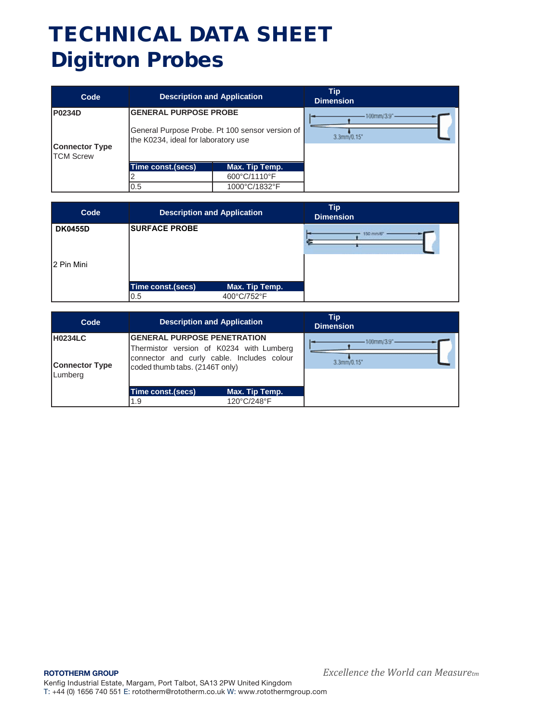| Code                                                       | <b>Description and Application</b>                                                                                     |                                | Tip<br><b>Dimension</b>                     |
|------------------------------------------------------------|------------------------------------------------------------------------------------------------------------------------|--------------------------------|---------------------------------------------|
| <b>P0234D</b><br><b>Connector Type</b><br><b>TCM Screw</b> | <b>GENERAL PURPOSE PROBE</b><br>General Purpose Probe. Pt 100 sensor version of<br>the K0234, ideal for laboratory use |                                | $100$ mm/ $3.9$ <sup>*</sup><br>3.3mm/0.15* |
|                                                            | Time const.(secs)                                                                                                      | Max. Tip Temp.<br>600°C/1110°F |                                             |
|                                                            | 0.5                                                                                                                    | 1000°C/1832°F                  |                                             |

| Code                         | <b>Description and Application</b> |                | Tip<br><b>Dimension</b> |
|------------------------------|------------------------------------|----------------|-------------------------|
| <b>DK0455D</b><br>2 Pin Mini | <b>SURFACE PROBE</b>               |                | 150 mm/                 |
|                              | Time const.(secs)                  | Max. Tip Temp. |                         |
|                              | 0.5                                | 400°C/752°F    |                         |

| Code                                               | <b>Description and Application</b>                                                                                                                              | Tip<br><b>Dimension</b>            |
|----------------------------------------------------|-----------------------------------------------------------------------------------------------------------------------------------------------------------------|------------------------------------|
| <b>H0234LC</b><br><b>Connector Type</b><br>Lumberg | <b>IGENERAL PURPOSE PENETRATION</b><br>Thermistor version of K0234 with Lumberg<br>connector and curly cable. Includes colour<br>coded thumb tabs. (2146T only) | $100$ mm/ $3.9$ " -<br>3.3mm/0.15' |
|                                                    | Time const.(secs)<br>Max. Tip Temp.                                                                                                                             |                                    |
|                                                    | 120°C/248°F<br>1.9                                                                                                                                              |                                    |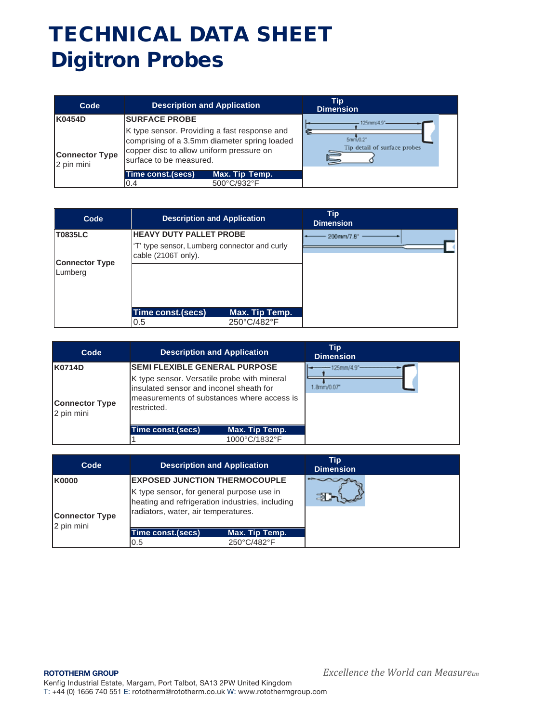| Code                                | <b>Description and Application</b>                                                                                                                                  | Tip<br><b>Dimension</b>                 |
|-------------------------------------|---------------------------------------------------------------------------------------------------------------------------------------------------------------------|-----------------------------------------|
| K0454D                              | <b>ISURFACE PROBE</b>                                                                                                                                               | 125mm/4.9"                              |
| <b>Connector Type</b><br>2 pin mini | K type sensor. Providing a fast response and<br>comprising of a 3.5mm diameter spring loaded<br>copper disc to allow uniform pressure on<br>surface to be measured. | 5mm/0.3<br>Tip detail of surface probes |
|                                     | Max. Tip Temp.<br>Time const.(secs)                                                                                                                                 |                                         |
|                                     | 500°C/932°F<br>0.4                                                                                                                                                  |                                         |

| Code                             | <b>Description and Application</b>                                             | Tip<br><b>Dimension</b> |
|----------------------------------|--------------------------------------------------------------------------------|-------------------------|
| <b>T0835LC</b>                   | <b>HEAVY DUTY PALLET PROBE</b><br>'T' type sensor, Lumberg connector and curly | 200mm/7.8"              |
| <b>Connector Type</b><br>Lumberg | cable (2106T only).                                                            |                         |
|                                  | Time const.(secs)<br>Max. Tip Temp.<br>250°C/482°F<br>0.5                      |                         |

| Code                                          | <b>Description and Application</b>                                                                                                                                                          | Tip<br><b>Dimension</b>        |
|-----------------------------------------------|---------------------------------------------------------------------------------------------------------------------------------------------------------------------------------------------|--------------------------------|
| K0714D<br><b>Connector Type</b><br>2 pin mini | <b>SEMI FLEXIBLE GENERAL PURPOSE</b><br>K type sensor. Versatile probe with mineral<br>insulated sensor and inconel sheath for<br>measurements of substances where access is<br>restricted. | $-125$ mm/4.9"-<br>1.8mm/0.07" |
|                                               | Time const.(secs)<br>Max. Tip Temp.                                                                                                                                                         |                                |
|                                               | 1000°C/1832°F                                                                                                                                                                               |                                |

| Code                                         | <b>Description and Application</b>                                                                                                                                          |                               | Tip<br><b>Dimension</b> |  |
|----------------------------------------------|-----------------------------------------------------------------------------------------------------------------------------------------------------------------------------|-------------------------------|-------------------------|--|
| K0000<br><b>Connector Type</b><br>2 pin mini | <b>EXPOSED JUNCTION THERMOCOUPLE</b><br>K type sensor, for general purpose use in<br>heating and refrigeration industries, including<br>radiators, water, air temperatures. |                               |                         |  |
|                                              | Time const.(secs)<br>0.5                                                                                                                                                    | Max. Tip Temp.<br>250°C/482°F |                         |  |